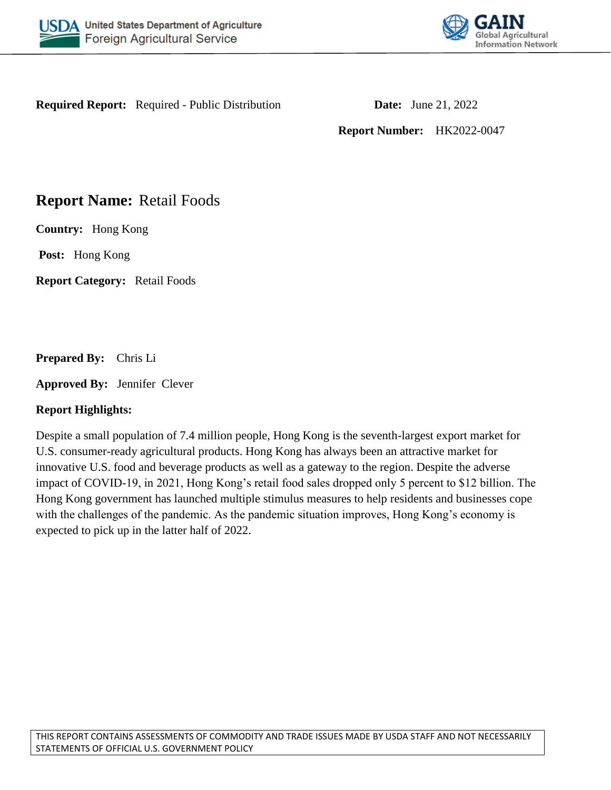



**Required Report:** Required - Public Distribution **Date:** June 21, 2022

**Report Number:** HK2022-0047

# **Report Name:** Retail Foods

**Country:** Hong Kong

**Post:** Hong Kong

**Report Category:** Retail Foods

**Prepared By:** Chris Li

**Approved By:** Jennifer Clever

# **Report Highlights:**

Despite a small population of 7.4 million people, Hong Kong is the seventh-largest export market for U.S. consumer-ready agricultural products. Hong Kong has always been an attractive market for innovative U.S. food and beverage products as well as a gateway to the region. Despite the adverse impact of COVID-19, in 2021, Hong Kong's retail food sales dropped only 5 percent to \$12 billion. The Hong Kong government has launched multiple stimulus measures to help residents and businesses cope with the challenges of the pandemic. As the pandemic situation improves, Hong Kong's economy is expected to pick up in the latter half of 2022.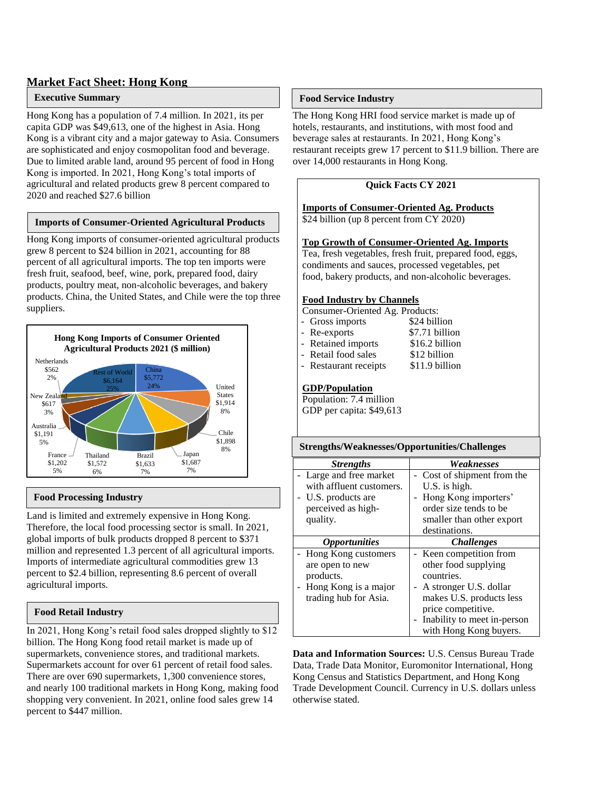### **Market Fact Sheet: Hong Kong**

#### **Executive Summary**

Hong Kong has a population of 7.4 million. In 2021, its per capita GDP was \$49,613, one of the highest in Asia. Hong Kong is a vibrant city and a major gateway to Asia. Consumers are sophisticated and enjoy cosmopolitan food and beverage. Due to limited arable land, around 95 percent of food in Hong Kong is imported. In 2021, Hong Kong's total imports of agricultural and related products grew 8 percent compared to 2020 and reached \$27.6 billion

#### **Imports of Consumer-Oriented Agricultural Products**

Hong Kong imports of consumer-oriented agricultural products **Summary** grew 8 percent to \$24 billion in 2021, accounting for 88 percent of all agricultural imports. The top ten imports were fresh fruit, seafood, beef, wine, pork, prepared food, dairy products, poultry meat, non-alcoholic beverages, and bakery products. China, the United States, and Chile were the top three suppliers.



### **Food Processing Industry**

Land is limited and extremely expensive in Hong Kong. Therefore, the local food processing sector is small. In 2021, global imports of bulk products dropped 8 percent to \$371 million and represented 1.3 percent of all agricultural imports. Imports of intermediate agricultural commodities grew 13 percent to \$2.4 billion, representing 8.6 percent of overall agricultural imports.

### **Food Retail Industry**

In 2021, Hong Kong's retail food sales dropped slightly to \$12 billion. The Hong Kong food retail market is made up of supermarkets, convenience stores, and traditional markets. Supermarkets account for over 61 percent of retail food sales. There are over 690 supermarkets, 1,300 convenience stores, and nearly 100 traditional markets in Hong Kong, making food shopping very convenient. In 2021, online food sales grew 14 percent to \$447 million.

#### **Food Service Industry**

The Hong Kong HRI food service market is made up of hotels, restaurants, and institutions, with most food and beverage sales at restaurants. In 2021, Hong Kong's restaurant receipts grew 17 percent to \$11.9 billion. There are over 14,000 restaurants in Hong Kong.

#### **Quick Facts CY 2021**

**Imports of Consumer-Oriented Ag. Products** \$24 billion (up 8 percent from CY 2020)

#### **Top Growth of Consumer-Oriented Ag. Imports**

Tea, fresh vegetables, fresh fruit, prepared food, eggs, condiments and sauces, processed vegetables, pet food, bakery products, and non-alcoholic beverages.

#### **Food Industry by Channels**

- Consumer-Oriented Ag. Products:
- Gross imports \$24 billion - Re-exports \$7.71 billion - Retained imports \$16.2 billion
- Retail food sales \$12 billion
- Restaurant receipts \$11.9 billion
- **GDP/Population**

Population: 7.4 million GDP per capita: \$49,613

#### **Strengths/Weaknesses/Opportunities/Challenges**

| <b>Strengths</b>            | Weaknesses                  |
|-----------------------------|-----------------------------|
| - Large and free market     | - Cost of shipment from the |
| with affluent customers.    | U.S. is high.               |
| - U.S. products are         | Hong Kong importers'        |
| perceived as high-          | order size tends to be      |
| quality.                    | smaller than other export   |
|                             | destinations.               |
| <i><b>Opportunities</b></i> | <i><b>Challenges</b></i>    |
| - Hong Kong customers       | Keen competition from       |
| are open to new             | other food supplying        |
| products.                   | countries.                  |
| - Hong Kong is a major      | A stronger U.S. dollar      |
| trading hub for Asia.       | makes U.S. products less    |
|                             | price competitive.          |
|                             | Inability to meet in-person |
|                             | with Hong Kong buyers.      |

**Data and Information Sources:** U.S. Census Bureau Trade Data, Trade Data Monitor, Euromonitor International, Hong Kong Census and Statistics Department, and Hong Kong Trade Development Council. Currency in U.S. dollars unless otherwise stated.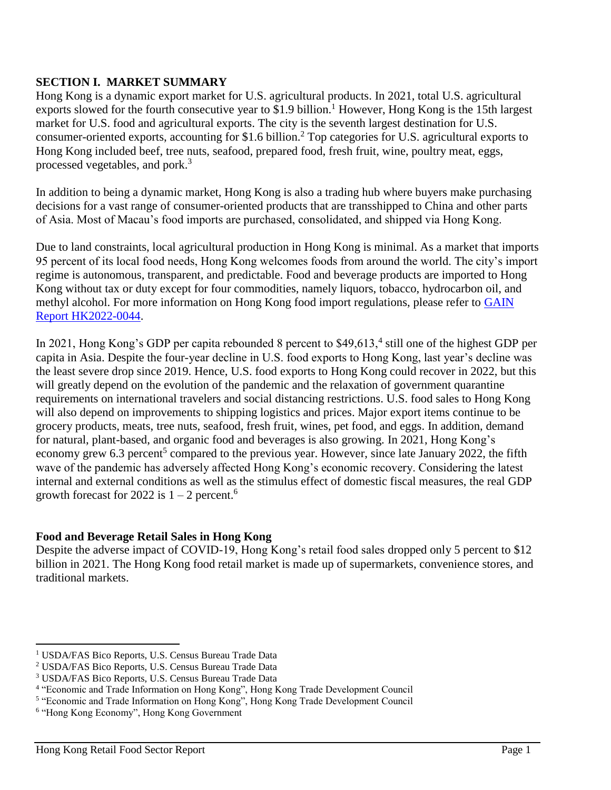# **SECTION I. MARKET SUMMARY**

Hong Kong is a dynamic export market for U.S. agricultural products. In 2021, total U.S. agricultural exports slowed for the fourth consecutive year to \$1.9 billion.<sup>1</sup> However, Hong Kong is the 15th largest market for U.S. food and agricultural exports. The city is the seventh largest destination for U.S. consumer-oriented exports, accounting for \$1.6 billion.<sup>2</sup> Top categories for U.S. agricultural exports to Hong Kong included beef, tree nuts, seafood, prepared food, fresh fruit, wine, poultry meat, eggs, processed vegetables, and pork.<sup>3</sup>

In addition to being a dynamic market, Hong Kong is also a trading hub where buyers make purchasing decisions for a vast range of consumer-oriented products that are transshipped to China and other parts of Asia. Most of Macau's food imports are purchased, consolidated, and shipped via Hong Kong.

Due to land constraints, local agricultural production in Hong Kong is minimal. As a market that imports 95 percent of its local food needs, Hong Kong welcomes foods from around the world. The city's import regime is autonomous, transparent, and predictable. Food and beverage products are imported to Hong Kong without tax or duty except for four commodities, namely liquors, tobacco, hydrocarbon oil, and methyl alcohol. For more information on Hong Kong food import regulations, please refer to GAIN [Report HK2022-0044.](https://apps.fas.usda.gov/newgainapi/api/Report/DownloadReportByFileName?fileName=Food%20and%20Agricultural%20Import%20Regulations%20and%20Standards%20Country%20Report_Hong%20Kong_Hong%20Kong_HK2022-0044)

In 2021, Hong Kong's GDP per capita rebounded 8 percent to \$49,613,<sup>4</sup> still one of the highest GDP per capita in Asia. Despite the four-year decline in U.S. food exports to Hong Kong, last year's decline was the least severe drop since 2019. Hence, U.S. food exports to Hong Kong could recover in 2022, but this will greatly depend on the evolution of the pandemic and the relaxation of government quarantine requirements on international travelers and social distancing restrictions. U.S. food sales to Hong Kong will also depend on improvements to shipping logistics and prices. Major export items continue to be grocery products, meats, tree nuts, seafood, fresh fruit, wines, pet food, and eggs. In addition, demand for natural, plant-based, and organic food and beverages is also growing. In 2021, Hong Kong's economy grew 6.3 percent<sup>5</sup> compared to the previous year. However, since late January 2022, the fifth wave of the pandemic has adversely affected Hong Kong's economic recovery. Considering the latest internal and external conditions as well as the stimulus effect of domestic fiscal measures, the real GDP growth forecast for 2022 is  $1 - 2$  percent.<sup>6</sup>

# **Food and Beverage Retail Sales in Hong Kong**

Despite the adverse impact of COVID-19, Hong Kong's retail food sales dropped only 5 percent to \$12 billion in 2021. The Hong Kong food retail market is made up of supermarkets, convenience stores, and traditional markets.

 $\overline{\phantom{a}}$ <sup>1</sup> USDA/FAS Bico Reports, U.S. Census Bureau Trade Data

<sup>2</sup> USDA/FAS Bico Reports, U.S. Census Bureau Trade Data

<sup>3</sup> USDA/FAS Bico Reports, U.S. Census Bureau Trade Data

<sup>4</sup> "Economic and Trade Information on Hong Kong", Hong Kong Trade Development Council

<sup>&</sup>lt;sup>5</sup> "Economic and Trade Information on Hong Kong", Hong Kong Trade Development Council

<sup>6</sup> "Hong Kong Economy", Hong Kong Government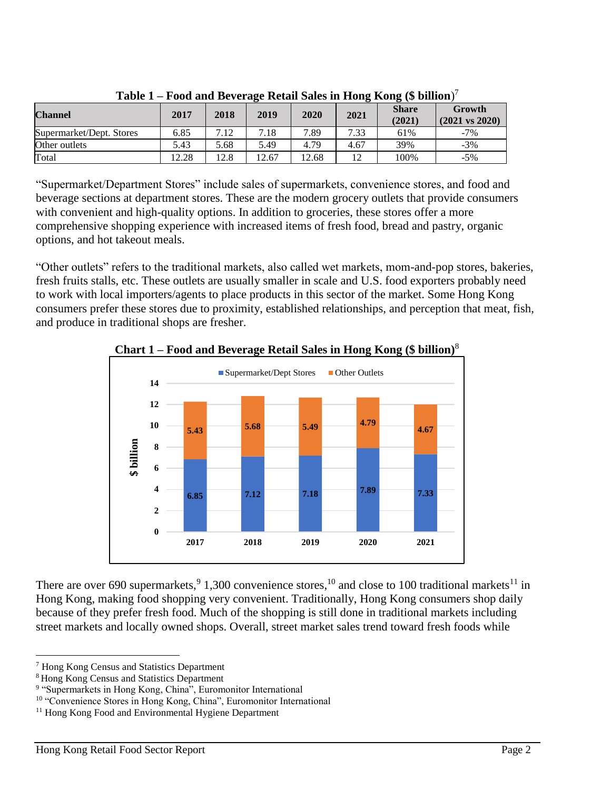| <b>Channel</b>           | 2017  | 2018 | 2019  | 2020  | 2021           | <b>Share</b><br>(2021) | Growth<br>$(2021 \text{ vs } 2020)$ |
|--------------------------|-------|------|-------|-------|----------------|------------------------|-------------------------------------|
| Supermarket/Dept. Stores | 6.85  | 7.12 | 7.18  | 7.89  | 7.33           | 61%                    | $-7\%$                              |
| Other outlets            | 5.43  | 5.68 | 5.49  | 4.79  | 4.67           | 39%                    | $-3%$                               |
| Total                    | 12.28 | 12.8 | 12.67 | 12.68 | $\overline{a}$ | 100%                   | $-5%$                               |

**Table 1 – Food and Beverage Retail Sales in Hong Kong (\$ billion**) 7

"Supermarket/Department Stores" include sales of supermarkets, convenience stores, and food and beverage sections at department stores. These are the modern grocery outlets that provide consumers with convenient and high-quality options. In addition to groceries, these stores offer a more comprehensive shopping experience with increased items of fresh food, bread and pastry, organic options, and hot takeout meals.

"Other outlets" refers to the traditional markets, also called wet markets, mom-and-pop stores, bakeries, fresh fruits stalls, etc. These outlets are usually smaller in scale and U.S. food exporters probably need to work with local importers/agents to place products in this sector of the market. Some Hong Kong consumers prefer these stores due to proximity, established relationships, and perception that meat, fish, and produce in traditional shops are fresher.



**Chart 1 – Food and Beverage Retail Sales in Hong Kong (\$ billion)**<sup>8</sup>

There are over 690 supermarkets,  $91,300$  convenience stores,  $10$  and close to 100 traditional markets  $11$  in Hong Kong, making food shopping very convenient. Traditionally, Hong Kong consumers shop daily because of they prefer fresh food. Much of the shopping is still done in traditional markets including street markets and locally owned shops. Overall, street market sales trend toward fresh foods while

l

<sup>7</sup> Hong Kong Census and Statistics Department

<sup>8</sup> Hong Kong Census and Statistics Department

<sup>&</sup>lt;sup>9</sup> "Supermarkets in Hong Kong, China", Euromonitor International

<sup>&</sup>lt;sup>10</sup> "Convenience Stores in Hong Kong, China", Euromonitor International

<sup>&</sup>lt;sup>11</sup> Hong Kong Food and Environmental Hygiene Department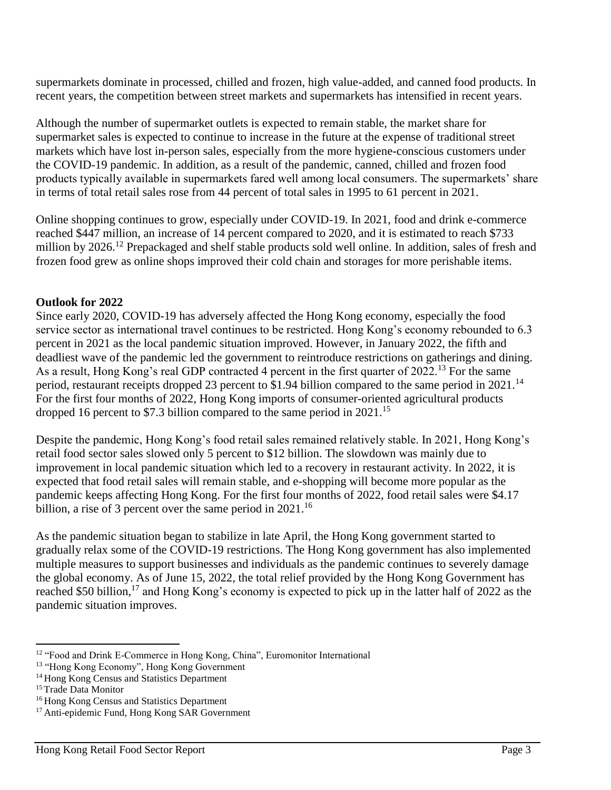supermarkets dominate in processed, chilled and frozen, high value-added, and canned food products. In recent years, the competition between street markets and supermarkets has intensified in recent years.

Although the number of supermarket outlets is expected to remain stable, the market share for supermarket sales is expected to continue to increase in the future at the expense of traditional street markets which have lost in-person sales, especially from the more hygiene-conscious customers under the COVID-19 pandemic. In addition, as a result of the pandemic, canned, chilled and frozen food products typically available in supermarkets fared well among local consumers. The supermarkets' share in terms of total retail sales rose from 44 percent of total sales in 1995 to 61 percent in 2021.

Online shopping continues to grow, especially under COVID-19. In 2021, food and drink e-commerce reached \$447 million, an increase of 14 percent compared to 2020, and it is estimated to reach \$733 million by 2026.<sup>12</sup> Prepackaged and shelf stable products sold well online. In addition, sales of fresh and frozen food grew as online shops improved their cold chain and storages for more perishable items.

### **Outlook for 2022**

Since early 2020, COVID-19 has adversely affected the Hong Kong economy, especially the food service sector as international travel continues to be restricted. Hong Kong's economy rebounded to 6.3 percent in 2021 as the local pandemic situation improved. However, in January 2022, the fifth and deadliest wave of the pandemic led the government to reintroduce restrictions on gatherings and dining. As a result, Hong Kong's real GDP contracted 4 percent in the first quarter of 2022.<sup>13</sup> For the same period, restaurant receipts dropped 23 percent to \$1.94 billion compared to the same period in 2021.<sup>14</sup> For the first four months of 2022, Hong Kong imports of consumer-oriented agricultural products dropped 16 percent to \$7.3 billion compared to the same period in 2021.<sup>15</sup>

Despite the pandemic, Hong Kong's food retail sales remained relatively stable. In 2021, Hong Kong's retail food sector sales slowed only 5 percent to \$12 billion. The slowdown was mainly due to improvement in local pandemic situation which led to a recovery in restaurant activity. In 2022, it is expected that food retail sales will remain stable, and e-shopping will become more popular as the pandemic keeps affecting Hong Kong. For the first four months of 2022, food retail sales were \$4.17 billion, a rise of 3 percent over the same period in 2021.<sup>16</sup>

As the pandemic situation began to stabilize in late April, the Hong Kong government started to gradually relax some of the COVID-19 restrictions. The Hong Kong government has also implemented multiple measures to support businesses and individuals as the pandemic continues to severely damage the global economy. As of June 15, 2022, the total relief provided by the Hong Kong Government has reached \$50 billion,<sup>17</sup> and Hong Kong's economy is expected to pick up in the latter half of 2022 as the pandemic situation improves.

 $\overline{\phantom{a}}$ <sup>12</sup> "Food and Drink E-Commerce in Hong Kong, China", Euromonitor International

<sup>&</sup>lt;sup>13</sup> "Hong Kong Economy", Hong Kong Government

<sup>&</sup>lt;sup>14</sup> Hong Kong Census and Statistics Department

<sup>&</sup>lt;sup>15</sup> Trade Data Monitor

<sup>&</sup>lt;sup>16</sup> Hong Kong Census and Statistics Department

<sup>&</sup>lt;sup>17</sup> Anti-epidemic Fund, Hong Kong SAR Government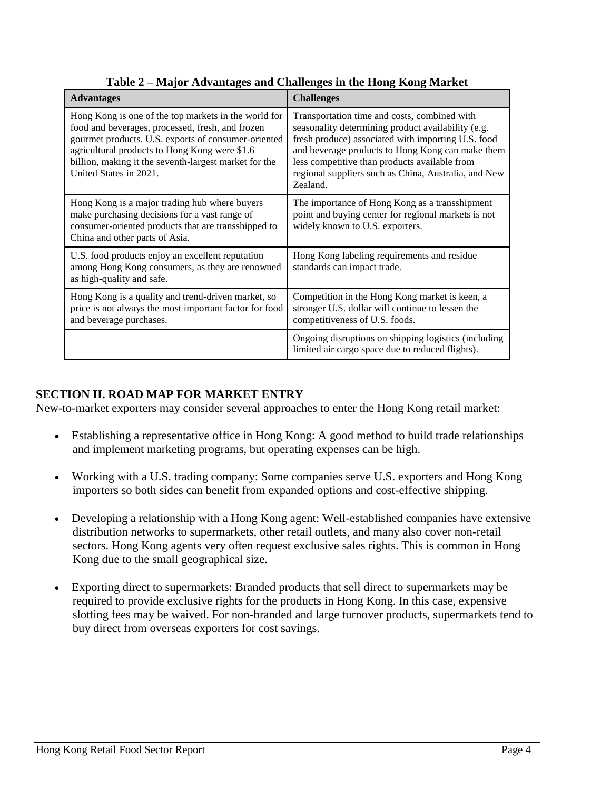| <b>Advantages</b>                                                                                                                                                                                                                                                                                   | <b>Challenges</b>                                                                                                                                                                                                                                                                                                                 |
|-----------------------------------------------------------------------------------------------------------------------------------------------------------------------------------------------------------------------------------------------------------------------------------------------------|-----------------------------------------------------------------------------------------------------------------------------------------------------------------------------------------------------------------------------------------------------------------------------------------------------------------------------------|
| Hong Kong is one of the top markets in the world for<br>food and beverages, processed, fresh, and frozen<br>gourmet products. U.S. exports of consumer-oriented<br>agricultural products to Hong Kong were \$1.6<br>billion, making it the seventh-largest market for the<br>United States in 2021. | Transportation time and costs, combined with<br>seasonality determining product availability (e.g.<br>fresh produce) associated with importing U.S. food<br>and beverage products to Hong Kong can make them<br>less competitive than products available from<br>regional suppliers such as China, Australia, and New<br>Zealand. |
| Hong Kong is a major trading hub where buyers<br>make purchasing decisions for a vast range of<br>consumer-oriented products that are transshipped to<br>China and other parts of Asia.                                                                                                             | The importance of Hong Kong as a transshipment<br>point and buying center for regional markets is not<br>widely known to U.S. exporters.                                                                                                                                                                                          |
| U.S. food products enjoy an excellent reputation<br>among Hong Kong consumers, as they are renowned<br>as high-quality and safe.                                                                                                                                                                    | Hong Kong labeling requirements and residue<br>standards can impact trade.                                                                                                                                                                                                                                                        |
| Hong Kong is a quality and trend-driven market, so<br>price is not always the most important factor for food<br>and beverage purchases.                                                                                                                                                             | Competition in the Hong Kong market is keen, a<br>stronger U.S. dollar will continue to lessen the<br>competitiveness of U.S. foods.                                                                                                                                                                                              |
|                                                                                                                                                                                                                                                                                                     | Ongoing disruptions on shipping logistics (including<br>limited air cargo space due to reduced flights).                                                                                                                                                                                                                          |

**Table 2 – Major Advantages and Challenges in the Hong Kong Market**

# **SECTION II. ROAD MAP FOR MARKET ENTRY**

New-to-market exporters may consider several approaches to enter the Hong Kong retail market:

- Establishing a representative office in Hong Kong: A good method to build trade relationships and implement marketing programs, but operating expenses can be high.
- Working with a U.S. trading company: Some companies serve U.S. exporters and Hong Kong importers so both sides can benefit from expanded options and cost-effective shipping.
- Developing a relationship with a Hong Kong agent: Well-established companies have extensive distribution networks to supermarkets, other retail outlets, and many also cover non-retail sectors. Hong Kong agents very often request exclusive sales rights. This is common in Hong Kong due to the small geographical size.
- Exporting direct to supermarkets: Branded products that sell direct to supermarkets may be required to provide exclusive rights for the products in Hong Kong. In this case, expensive slotting fees may be waived. For non-branded and large turnover products, supermarkets tend to buy direct from overseas exporters for cost savings.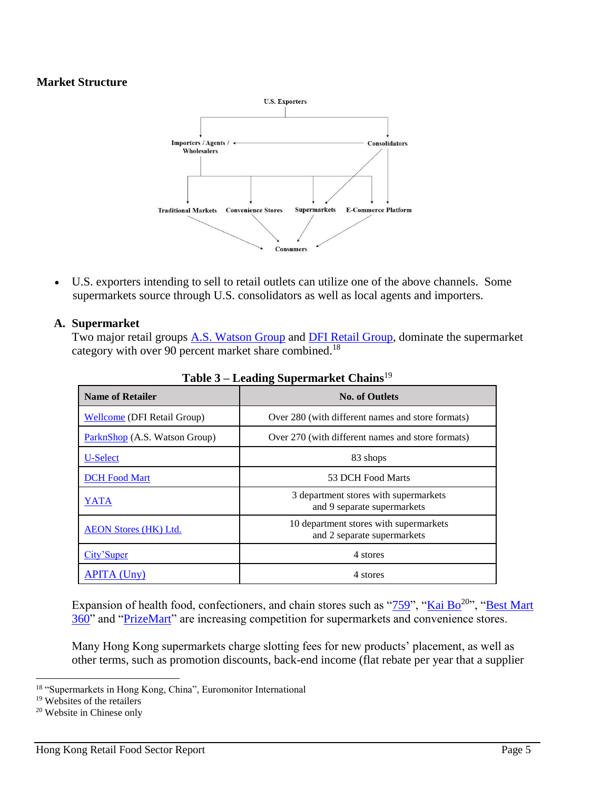# **Market Structure**



 U.S. exporters intending to sell to retail outlets can utilize one of the above channels. Some supermarkets source through U.S. consolidators as well as local agents and importers.

### **A. Supermarket**

Two major retail groups [A.S. Watson Group](https://www.aswatson.com/) and [DFI Retail Group,](https://www.dairyfarmgroup.com/en-US/Our-Company/About-Dairy-Farm) dominate the supermarket category with over 90 percent market share combined.<sup>18</sup>

| <b>Name of Retailer</b>       | <b>No. of Outlets</b>                                                 |
|-------------------------------|-----------------------------------------------------------------------|
| Wellcome (DFI Retail Group)   | Over 280 (with different names and store formats)                     |
| ParknShop (A.S. Watson Group) | Over 270 (with different names and store formats)                     |
| U-Select                      | 83 shops                                                              |
| <b>DCH Food Mart</b>          | 53 DCH Food Marts                                                     |
| YATA                          | 3 department stores with supermarkets<br>and 9 separate supermarkets  |
| <b>AEON Stores (HK) Ltd.</b>  | 10 department stores with supermarkets<br>and 2 separate supermarkets |
| City'Super                    | 4 stores                                                              |
| <b>APITA</b> (Uny)            | 4 stores                                                              |

**Table 3 – Leading Supermarket Chains**<sup>19</sup>

Expansion of health food, confectioners, and chain stores such as " $759$ ", ["Kai Bo](http://www.kaibo.com.hk/main.html)<sup>20</sup>", "Best Mart [360"](https://www.bestmart360.com/about-us) and ["PrizeMart"](https://www.prizemart.com/index.php/en/main/page/about) are increasing competition for supermarkets and convenience stores.

Many Hong Kong supermarkets charge slotting fees for new products' placement, as well as other terms, such as promotion discounts, back-end income (flat rebate per year that a supplier

 $\overline{\phantom{a}}$ <sup>18</sup> "Supermarkets in Hong Kong, China", Euromonitor International

<sup>19</sup> Websites of the retailers

<sup>20</sup> Website in Chinese only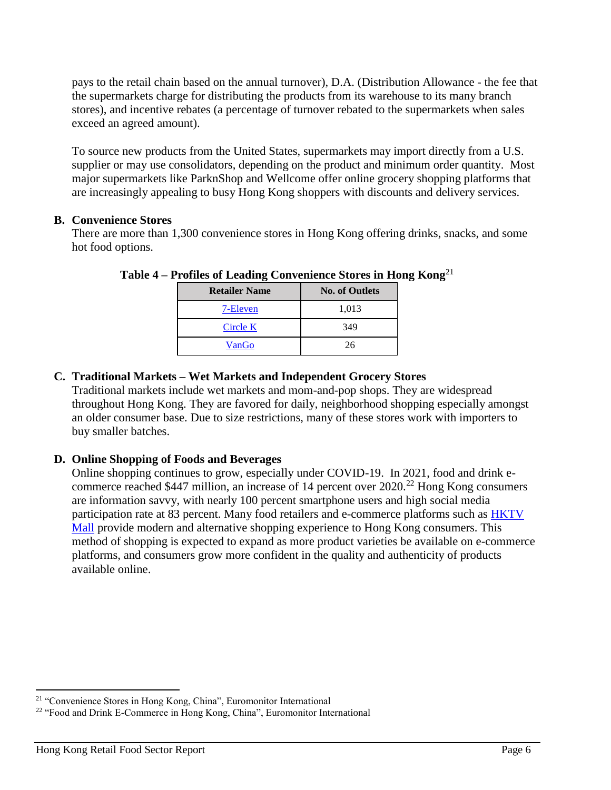pays to the retail chain based on the annual turnover), D.A. (Distribution Allowance - the fee that the supermarkets charge for distributing the products from its warehouse to its many branch stores), and incentive rebates (a percentage of turnover rebated to the supermarkets when sales exceed an agreed amount).

To source new products from the United States, supermarkets may import directly from a U.S. supplier or may use consolidators, depending on the product and minimum order quantity. Most major supermarkets like ParknShop and Wellcome offer online grocery shopping platforms that are increasingly appealing to busy Hong Kong shoppers with discounts and delivery services.

# **B. Convenience Stores**

There are more than 1,300 convenience stores in Hong Kong offering drinks, snacks, and some hot food options.

| <b>Retailer Name</b> | <b>No. of Outlets</b> |
|----------------------|-----------------------|
| 7-Eleven             | 1,013                 |
| Circle K             | 349                   |
| VanGo                | 26                    |

**Table 4 – Profiles of Leading Convenience Stores in Hong Kong**<sup>21</sup>

# **C. Traditional Markets – Wet Markets and Independent Grocery Stores**

Traditional markets include wet markets and mom-and-pop shops. They are widespread throughout Hong Kong. They are favored for daily, neighborhood shopping especially amongst an older consumer base. Due to size restrictions, many of these stores work with importers to buy smaller batches.

# **D. Online Shopping of Foods and Beverages**

Online shopping continues to grow, especially under COVID-19. In 2021, food and drink ecommerce reached \$447 million, an increase of 14 percent over  $2020$ <sup>22</sup> Hong Kong consumers are information savvy, with nearly 100 percent smartphone users and high social media participation rate at 83 percent. Many food retailers and e-commerce platforms such as [HKTV](https://www.hktvmall.com/hktv/en/supermarket)  [Mall](https://www.hktvmall.com/hktv/en/supermarket) provide modern and alternative shopping experience to Hong Kong consumers. This method of shopping is expected to expand as more product varieties be available on e-commerce platforms, and consumers grow more confident in the quality and authenticity of products available online.

 $\overline{a}$ 

<sup>21</sup> "Convenience Stores in Hong Kong, China", Euromonitor International

<sup>&</sup>lt;sup>22</sup> "Food and Drink E-Commerce in Hong Kong, China", Euromonitor International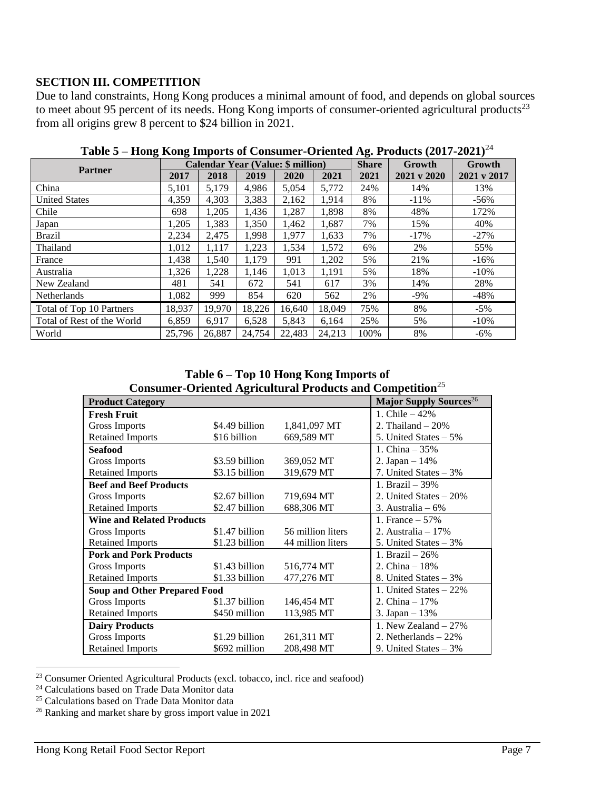# **SECTION III. COMPETITION**

Due to land constraints, Hong Kong produces a minimal amount of food, and depends on global sources to meet about 95 percent of its needs. Hong Kong imports of consumer-oriented agricultural products<sup>23</sup> from all origins grew 8 percent to \$24 billion in 2021.

|                            | <b>Calendar Year (Value: \$ million)</b> |        |        | <b>Share</b> | Growth | Growth |             |             |
|----------------------------|------------------------------------------|--------|--------|--------------|--------|--------|-------------|-------------|
| <b>Partner</b>             | 2017                                     | 2018   | 2019   | 2020         | 2021   | 2021   | 2021 v 2020 | 2021 v 2017 |
| China                      | 5,101                                    | 5,179  | 4,986  | 5,054        | 5,772  | 24%    | 14%         | 13%         |
| <b>United States</b>       | 4,359                                    | 4,303  | 3,383  | 2,162        | 1,914  | 8%     | $-11\%$     | $-56%$      |
| Chile                      | 698                                      | 1,205  | 1,436  | 1,287        | 1,898  | 8%     | 48%         | 172%        |
| Japan                      | 1,205                                    | 1,383  | 1,350  | 1,462        | 1,687  | 7%     | 15%         | 40%         |
| <b>Brazil</b>              | 2,234                                    | 2,475  | 1,998  | 1,977        | 1,633  | 7%     | $-17\%$     | $-27%$      |
| Thailand                   | 1,012                                    | 1,117  | 1,223  | 1,534        | 1,572  | 6%     | 2%          | 55%         |
| France                     | 1,438                                    | 1,540  | 1,179  | 991          | 1,202  | 5%     | 21%         | $-16%$      |
| Australia                  | 1,326                                    | 1,228  | 1,146  | 1,013        | 1,191  | 5%     | 18%         | $-10%$      |
| New Zealand                | 481                                      | 541    | 672    | 541          | 617    | 3%     | 14%         | 28%         |
| <b>Netherlands</b>         | 1,082                                    | 999    | 854    | 620          | 562    | 2%     | $-9\%$      | $-48%$      |
| Total of Top 10 Partners   | 18,937                                   | 19,970 | 18,226 | 16,640       | 18,049 | 75%    | 8%          | $-5%$       |
| Total of Rest of the World | 6,859                                    | 6,917  | 6,528  | 5,843        | 6,164  | 25%    | 5%          | $-10\%$     |
| World                      | 25,796                                   | 26,887 | 24,754 | 22,483       | 24,213 | 100%   | 8%          | $-6\%$      |

**Table 5 – Hong Kong Imports of Consumer-Oriented Ag. Products (2017-2021)**<sup>24</sup>

**Table 6 – Top 10 Hong Kong Imports of Consumer-Oriented Agricultural Products and Competition**<sup>25</sup>

| Consumer Oriented rightenturum rroducts and Competition |                |                   |                                           |  |  |  |
|---------------------------------------------------------|----------------|-------------------|-------------------------------------------|--|--|--|
| <b>Product Category</b>                                 |                |                   | <b>Major Supply Sources</b> <sup>26</sup> |  |  |  |
| <b>Fresh Fruit</b>                                      |                |                   | 1. Chile $-42%$                           |  |  |  |
| <b>Gross Imports</b>                                    | \$4.49 billion | 1,841,097 MT      | 2. Thailand $-20%$                        |  |  |  |
| <b>Retained Imports</b>                                 | \$16 billion   | 669,589 MT        | 5. United States $-5\%$                   |  |  |  |
| <b>Seafood</b>                                          |                |                   | 1. China $-35%$                           |  |  |  |
| <b>Gross Imports</b>                                    | \$3.59 billion | 369,052 MT        | 2. Japan – $14%$                          |  |  |  |
| <b>Retained Imports</b>                                 | \$3.15 billion | 319,679 MT        | 7. United States $-3\%$                   |  |  |  |
| <b>Beef and Beef Products</b>                           |                |                   | 1. Brazil – $39%$                         |  |  |  |
| <b>Gross Imports</b>                                    | \$2.67 billion | 719,694 MT        | 2. United States $-20\%$                  |  |  |  |
| <b>Retained Imports</b>                                 | \$2.47 billion | 688,306 MT        | 3. Australia $-6\%$                       |  |  |  |
| <b>Wine and Related Products</b>                        |                |                   | 1. France $-57%$                          |  |  |  |
| <b>Gross Imports</b>                                    | \$1.47 billion | 56 million liters | 2. Australia – $17\%$                     |  |  |  |
| <b>Retained Imports</b>                                 | \$1.23 billion | 44 million liters | 5. United States $-3\%$                   |  |  |  |
| <b>Pork and Pork Products</b>                           |                |                   | 1. Brazil $-26%$                          |  |  |  |
| <b>Gross Imports</b>                                    | \$1.43 billion | 516,774 MT        | 2. China $-18%$                           |  |  |  |
| <b>Retained Imports</b>                                 | \$1.33 billion | 477,276 MT        | 8. United States $-3\%$                   |  |  |  |
| <b>Soup and Other Prepared Food</b>                     |                |                   | 1. United States - 22%                    |  |  |  |
| <b>Gross Imports</b>                                    | \$1.37 billion | 146,454 MT        | 2. China $-17%$                           |  |  |  |
| <b>Retained Imports</b>                                 | \$450 million  | 113,985 MT        | 3. Japan $-13%$                           |  |  |  |
| <b>Dairy Products</b>                                   |                |                   | 1. New Zealand $-27\%$                    |  |  |  |
| <b>Gross Imports</b>                                    | \$1.29 billion | 261,311 MT        | 2. Netherlands $-22%$                     |  |  |  |
| <b>Retained Imports</b>                                 | \$692 million  | 208,498 MT        | 9. United States $-3\%$                   |  |  |  |

<sup>23</sup> Consumer Oriented Agricultural Products (excl. tobacco, incl. rice and seafood)

 $\overline{a}$ 

<sup>&</sup>lt;sup>24</sup> Calculations based on Trade Data Monitor data

<sup>25</sup> Calculations based on Trade Data Monitor data

<sup>26</sup> Ranking and market share by gross import value in 2021